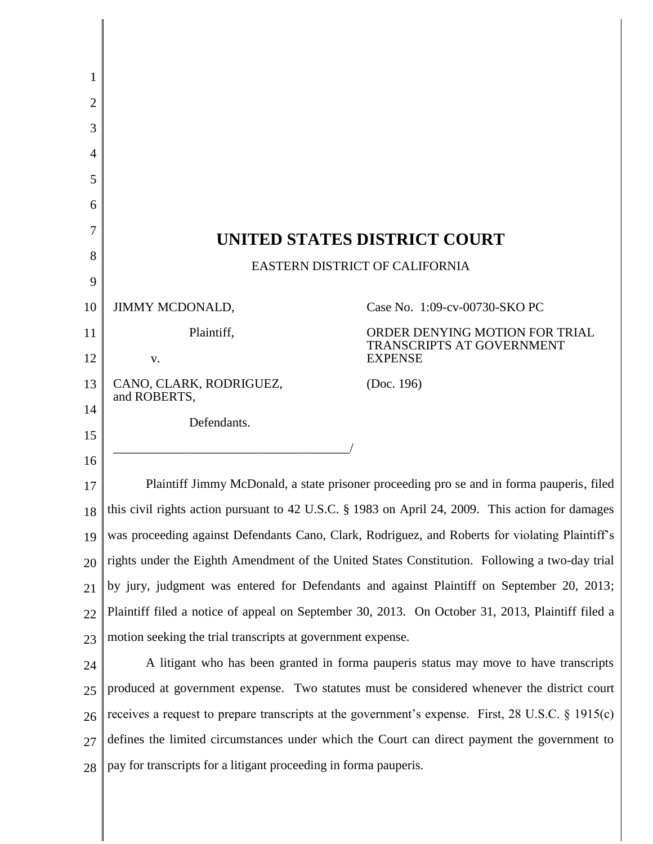| 1  |                                                                                                   |                                                                    |
|----|---------------------------------------------------------------------------------------------------|--------------------------------------------------------------------|
| 2  |                                                                                                   |                                                                    |
| 3  |                                                                                                   |                                                                    |
| 4  |                                                                                                   |                                                                    |
| 5  |                                                                                                   |                                                                    |
| 6  |                                                                                                   |                                                                    |
| 7  | UNITED STATES DISTRICT COURT                                                                      |                                                                    |
| 8  | <b>EASTERN DISTRICT OF CALIFORNIA</b>                                                             |                                                                    |
| 9  |                                                                                                   |                                                                    |
| 10 | <b>JIMMY MCDONALD,</b>                                                                            | Case No. 1:09-cv-00730-SKO PC                                      |
| 11 | Plaintiff,                                                                                        | ORDER DENYING MOTION FOR TRIAL<br><b>TRANSCRIPTS AT GOVERNMENT</b> |
| 12 | V.                                                                                                | <b>EXPENSE</b>                                                     |
| 13 | CANO, CLARK, RODRIGUEZ,<br>and ROBERTS,                                                           | (Doc. 196)                                                         |
| 14 | Defendants.                                                                                       |                                                                    |
| 15 |                                                                                                   |                                                                    |
| 16 |                                                                                                   |                                                                    |
| 17 | Plaintiff Jimmy McDonald, a state prisoner proceeding pro se and in forma pauperis, filed         |                                                                    |
| 18 | this civil rights action pursuant to 42 U.S.C. § 1983 on April 24, 2009. This action for damages  |                                                                    |
| 19 | was proceeding against Defendants Cano, Clark, Rodriguez, and Roberts for violating Plaintiff's   |                                                                    |
| 20 | rights under the Eighth Amendment of the United States Constitution. Following a two-day trial    |                                                                    |
| 21 | by jury, judgment was entered for Defendants and against Plaintiff on September 20, 2013;         |                                                                    |
| 22 | Plaintiff filed a notice of appeal on September 30, 2013. On October 31, 2013, Plaintiff filed a  |                                                                    |
| 23 | motion seeking the trial transcripts at government expense.                                       |                                                                    |
| 24 | A litigant who has been granted in forma pauperis status may move to have transcripts             |                                                                    |
| 25 | produced at government expense. Two statutes must be considered whenever the district court       |                                                                    |
| 26 | receives a request to prepare transcripts at the government's expense. First, 28 U.S.C. § 1915(c) |                                                                    |
| 27 | defines the limited circumstances under which the Court can direct payment the government to      |                                                                    |
| 28 | pay for transcripts for a litigant proceeding in forma pauperis.                                  |                                                                    |

 $\parallel$